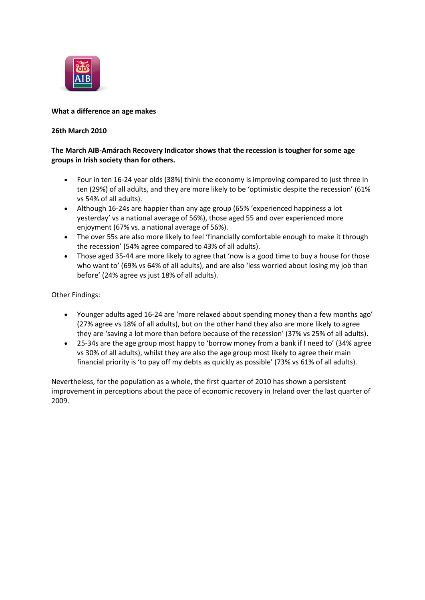

# **What a difference an age makes**

# **26th March 2010**

# **The March AIB-Amárach Recovery Indicator shows that the recession is tougher for some age groups in Irish society than for others.**

- Four in ten 16-24 year olds (38%) think the economy is improving compared to just three in ten (29%) of all adults, and they are more likely to be 'optimistic despite the recession' (61% vs 54% of all adults).
- Although 16-24s are happier than any age group (65% 'experienced happiness a lot yesterday' vs a national average of 56%), those aged 55 and over experienced more enjoyment (67% vs. a national average of 56%).
- The over 55s are also more likely to feel 'financially comfortable enough to make it through the recession' (54% agree compared to 43% of all adults).
- Those aged 35-44 are more likely to agree that 'now is a good time to buy a house for those who want to' (69% vs 64% of all adults), and are also 'less worried about losing my job than before' (24% agree vs just 18% of all adults).

Other Findings:

- Younger adults aged 16-24 are 'more relaxed about spending money than a few months ago' (27% agree vs 18% of all adults), but on the other hand they also are more likely to agree they are 'saving a lot more than before because of the recession' (37% vs 25% of all adults).
- 25-34s are the age group most happy to 'borrow money from a bank if I need to' (34% agree vs 30% of all adults), whilst they are also the age group most likely to agree their main financial priority is 'to pay off my debts as quickly as possible' (73% vs 61% of all adults).

Nevertheless, for the population as a whole, the first quarter of 2010 has shown a persistent improvement in perceptions about the pace of economic recovery in Ireland over the last quarter of 2009.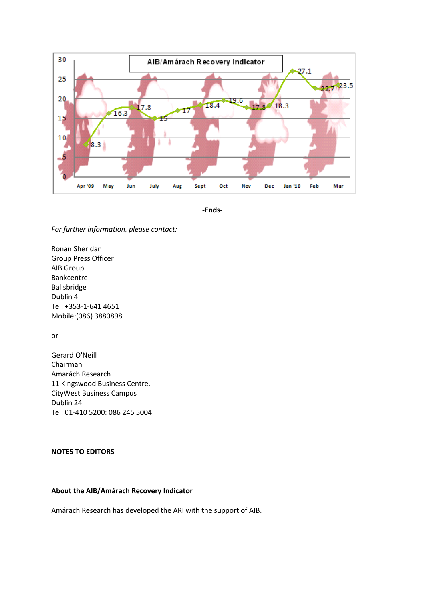

**-Ends-**

*For further information, please contact:*

Ronan Sheridan Group Press Officer AIB Group Bankcentre Ballsbridge Dublin 4 Tel: +353-1-641 4651 Mobile:(086) 3880898

or

Gerard O'Neill Chairman Amarách Research 11 Kingswood Business Centre, CityWest Business Campus Dublin 24 Tel: 01-410 5200: 086 245 5004

# **NOTES TO EDITORS**

#### **About the AIB/Amárach Recovery Indicator**

Amárach Research has developed the ARI with the support of AIB.